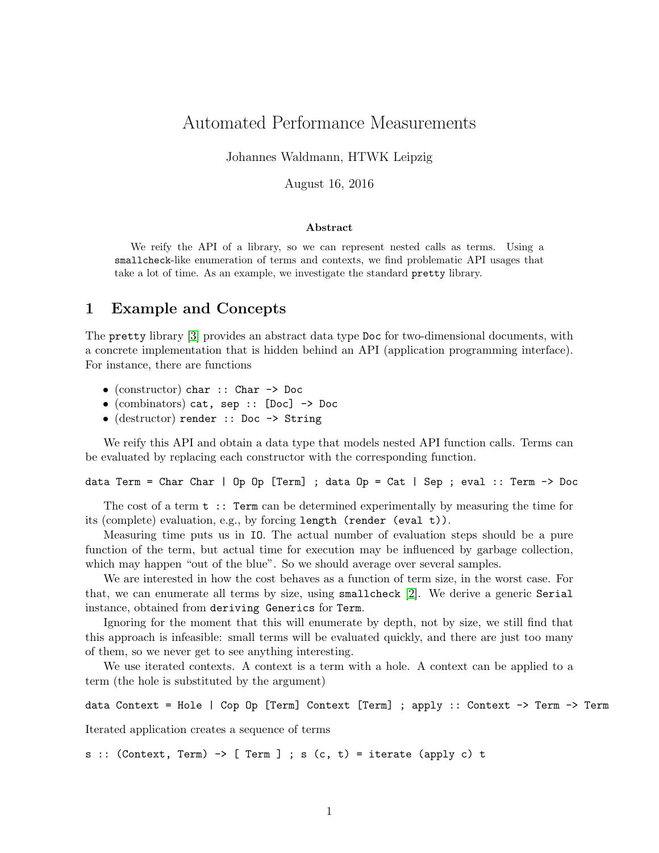# Automated Performance Measurements

Johannes Waldmann, HTWK Leipzig

August 16, 2016

#### Abstract

We reify the API of a library, so we can represent nested calls as terms. Using a smallcheck-like enumeration of terms and contexts, we find problematic API usages that take a lot of time. As an example, we investigate the standard pretty library.

# 1 Example and Concepts

The pretty library [\[3\]](#page-1-0) provides an abstract data type Doc for two-dimensional documents, with a concrete implementation that is hidden behind an API (application programming interface). For instance, there are functions

- (constructor) char :: Char -> Doc
- (combinators) cat, sep :: [Doc] -> Doc
- (destructor) render :: Doc -> String

We reify this API and obtain a data type that models nested API function calls. Terms can be evaluated by replacing each constructor with the corresponding function.

data Term = Char Char | Op Op [Term] ; data Op = Cat | Sep ; eval :: Term -> Doc

The cost of a term  $t :$ : Term can be determined experimentally by measuring the time for its (complete) evaluation, e.g., by forcing length (render (eval t)).

Measuring time puts us in IO. The actual number of evaluation steps should be a pure function of the term, but actual time for execution may be influenced by garbage collection, which may happen "out of the blue". So we should average over several samples.

We are interested in how the cost behaves as a function of term size, in the worst case. For that, we can enumerate all terms by size, using smallcheck [\[2\]](#page-1-1). We derive a generic Serial instance, obtained from deriving Generics for Term.

Ignoring for the moment that this will enumerate by depth, not by size, we still find that this approach is infeasible: small terms will be evaluated quickly, and there are just too many of them, so we never get to see anything interesting.

We use iterated contexts. A context is a term with a hole. A context can be applied to a term (the hole is substituted by the argument)

data Context = Hole | Cop Op [Term] Context [Term] ; apply :: Context -> Term -> Term

Iterated application creates a sequence of terms

s :: (Context, Term)  $\rightarrow$  [ Term ] ; s (c, t) = iterate (apply c) t